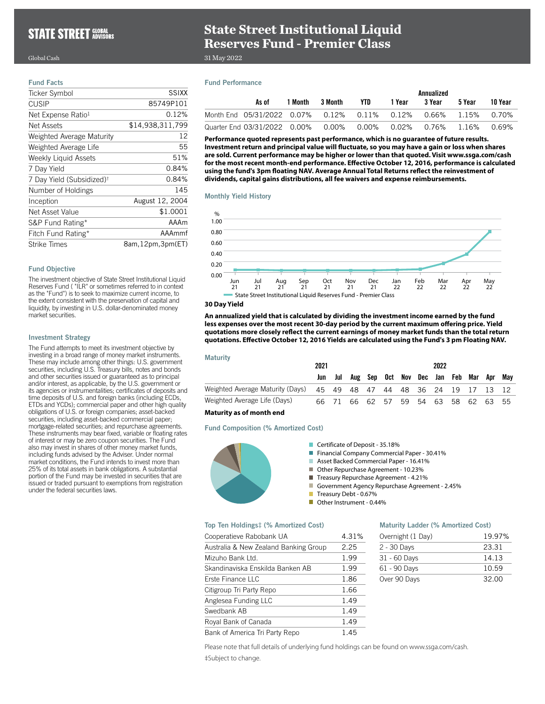# **STATE STREET** GLOBAL

# **State Street Institutional Liquid Reserves Fund - Premier Class**

## Global Cash 31 May 2022

## Fund Performance

|                                                                       |         |         |     |        | Annualized |        |         |
|-----------------------------------------------------------------------|---------|---------|-----|--------|------------|--------|---------|
| As of                                                                 | 1 Month | 3 Month | YTD | 1 Year | 3 Year     | 5 Year | 10 Year |
| Month End 05/31/2022  0.07%  0.12%  0.11%  0.12%  0.66%  1.15%  0.70% |         |         |     |        |            |        |         |
| Quarter End 03/31/2022 0.00% 0.00% 0.00% 0.02% 0.76% 1.16% 0.69%      |         |         |     |        |            |        |         |

**Performance quoted represents past performance, which is no guarantee of future results. Investment return and principal value will fluctuate, so you may have a gain or loss when shares are sold. Current performance may be higher or lower than that quoted. Visit www.ssga.com/cash for the most recent month-end performance. Effective October 12, 2016, performance is calculated using the fund's 3pm floating NAV. Average Annual Total Returns reflect the reinvestment of dividends, capital gains distributions, all fee waivers and expense reimbursements.**

### Monthly Yield History



#### **30 Day Yield**

**An annualized yield that is calculated by dividing the investment income earned by the fund less expenses over the most recent 30-day period by the current maximum offering price. Yield quotations more closely reflect the current earnings of money market funds than the total return quotations. Effective October 12, 2016 Yields are calculated using the Fund's 3 pm Floating NAV.** 

#### **Maturity**

|                                              | 2021 |       |  | 2022        |  |  |       |  |  |                                     |     |
|----------------------------------------------|------|-------|--|-------------|--|--|-------|--|--|-------------------------------------|-----|
|                                              | Jun  | Jul   |  |             |  |  |       |  |  | Aug Sep Oct Nov Dec Jan Feb Mar Apr | Mav |
| Weighted Average Maturity (Days) 45 49 48 47 |      |       |  |             |  |  |       |  |  | 44 48 36 24 19 17 13                |     |
| Weighted Average Life (Days)                 |      | 66 71 |  | 66 62 57 59 |  |  | 54 63 |  |  | 58 62 63                            | -55 |
|                                              |      |       |  |             |  |  |       |  |  |                                     |     |

#### **Maturity as of month end**

#### Fund Composition (% Amortized Cost)



- Certificate of Deposit 35.18%
- **Financial Company Commercial Paper 30.41%**
- п Asset Backed Commercial Paper - 16.41%
- T. Other Repurchase Agreement - 10.23%
- m. Treasury Repurchase Agreement - 4.21%
- Government Agency Repurchase Agreement 2.45%
- п Treasury Debt - 0.67%
- n. Other Instrument - 0.44%

#### Top Ten Holdings‡ (% Amortized Cost)

| Cooperatieve Rabobank UA              | 4.31% |
|---------------------------------------|-------|
| Australia & New Zealand Banking Group | 2.25  |
| Mizuho Bank Ltd.                      | 1.99  |
| Skandinaviska Enskilda Banken AB      | 1.99  |
| Frste Finance LLC                     | 1.86  |
| Citigroup Tri Party Repo              | 1.66  |
| Anglesea Funding LLC                  | 1.49  |
| Swedbank AB                           | 1.49  |
| Royal Bank of Canada                  | 1.49  |
| Bank of America Tri Party Repo        | 1.45  |
|                                       |       |

#### Maturity Ladder (% Amortized Cost)

| Overnight (1 Day) | 19.97% |
|-------------------|--------|
| 2 - 30 Days       | 23.31  |
| 31 - 60 Days      | 14.13  |
| 61 - 90 Davs      | 10.59  |
| Over 90 Days      | 32.00  |

Please note that full details of underlying fund holdings can be found on www.ssga.com/cash. ‡Subject to change.

| <b>Fund Facts</b>                     |                  |
|---------------------------------------|------------------|
| Ticker Symbol                         | SSIXX            |
| <b>CUSIP</b>                          | 85749P101        |
| Net Expense Ratio <sup>1</sup>        | 0.12%            |
| Net Assets                            | \$14,938,311,799 |
| Weighted Average Maturity             | 12               |
| Weighted Average Life                 | 55               |
| Weekly Liquid Assets                  | 51%              |
| 7 Day Yield                           | 0.84%            |
| 7 Day Yield (Subsidized) <sup>†</sup> | 0.84%            |
| Number of Holdings                    | 145              |
| Inception                             | August 12, 2004  |
| Net Asset Value                       | \$1.0001         |
| S&P Fund Rating*                      | AAAm             |
| Fitch Fund Rating*                    | AAAmmf           |
| Strike Times                          | 8am,12pm,3pm(ET) |

#### Fund Objective

The investment objective of State Street Institutional Liquid Reserves Fund ( "ILR" or sometimes referred to in context as the "Fund") is to seek to maximize current income, to the extent consistent with the preservation of capital and liquidity, by investing in U.S. dollar-denominated money market securities.

#### Investment Strategy

The Fund attempts to meet its investment objective by investing in a broad range of money market instruments. These may include among other things: U.S. government securities, including U.S. Treasury bills, notes and bonds and other securities issued or guaranteed as to principal and/or interest, as applicable, by the U.S. government or its agencies or instrumentalities; certificates of deposits and time deposits of U.S. and foreign banks (including ECDs, ETDs and YCDs); commercial paper and other high quality obligations of U.S. or foreign companies; asset-backed securities, including asset-backed commercial paper; mortgage-related securities; and repurchase agreements. These instruments may bear fixed, variable or floating rates of interest or may be zero coupon securities. The Fund also may invest in shares of other money market funds, including funds advised by the Adviser. Under normal market conditions, the Fund intends to invest more than 25% of its total assets in bank obligations. A substantial portion of the Fund may be invested in securities that are issued or traded pursuant to exemptions from registration under the federal securities laws.